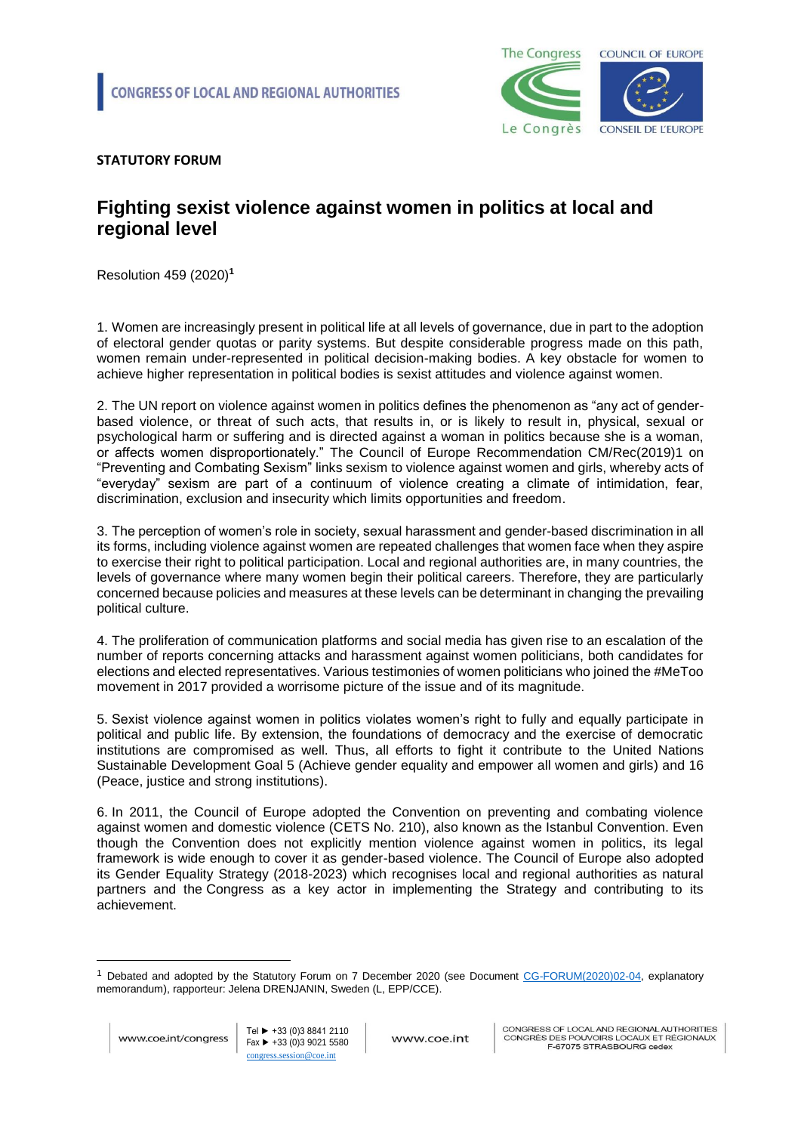

## **STATUTORY FORUM**

## **Fighting sexist violence against women in politics at local and regional level**

Resolution 459 (2020)**<sup>1</sup>**

1. Women are increasingly present in political life at all levels of governance, due in part to the adoption of electoral gender quotas or parity systems. But despite considerable progress made on this path, women remain under-represented in political decision-making bodies. A key obstacle for women to achieve higher representation in political bodies is sexist attitudes and violence against women.

2. The UN report on violence against women in politics defines the phenomenon as "any act of genderbased violence, or threat of such acts, that results in, or is likely to result in, physical, sexual or psychological harm or suffering and is directed against a woman in politics because she is a woman, or affects women disproportionately." The Council of Europe Recommendation CM/Rec(2019)1 on "Preventing and Combating Sexism" links sexism to violence against women and girls, whereby acts of "everyday" sexism are part of a continuum of violence creating a climate of intimidation, fear, discrimination, exclusion and insecurity which limits opportunities and freedom.

3. The perception of women's role in society, sexual harassment and gender-based discrimination in all its forms, including violence against women are repeated challenges that women face when they aspire to exercise their right to political participation. Local and regional authorities are, in many countries, the levels of governance where many women begin their political careers. Therefore, they are particularly concerned because policies and measures at these levels can be determinant in changing the prevailing political culture.

4. The proliferation of communication platforms and social media has given rise to an escalation of the number of reports concerning attacks and harassment against women politicians, both candidates for elections and elected representatives. Various testimonies of women politicians who joined the #MeToo movement in 2017 provided a worrisome picture of the issue and of its magnitude.

5. Sexist violence against women in politics violates women's right to fully and equally participate in political and public life. By extension, the foundations of democracy and the exercise of democratic institutions are compromised as well. Thus, all efforts to fight it contribute to the United Nations Sustainable Development Goal 5 (Achieve gender equality and empower all women and girls) and 16 (Peace, justice and strong institutions).

6. In 2011, the Council of Europe adopted the Convention on preventing and combating violence against women and domestic violence (CETS No. 210), also known as the Istanbul Convention. Even though the Convention does not explicitly mention violence against women in politics, its legal framework is wide enough to cover it as gender-based violence. The Council of Europe also adopted its Gender Equality Strategy (2018-2023) which recognises local and regional authorities as natural partners and the Congress as a key actor in implementing the Strategy and contributing to its achievement.

1

<sup>&</sup>lt;sup>1</sup> Debated and adopted by the Statutory Forum on 7 December 2020 (see Document [CG-FORUM\(2020\)02-04,](https://search.coe.int/cm/pages/result_details.aspx?objectid=0900001680a061c3) explanatory memorandum), rapporteur: Jelena DRENJANIN, Sweden (L, EPP/CCE).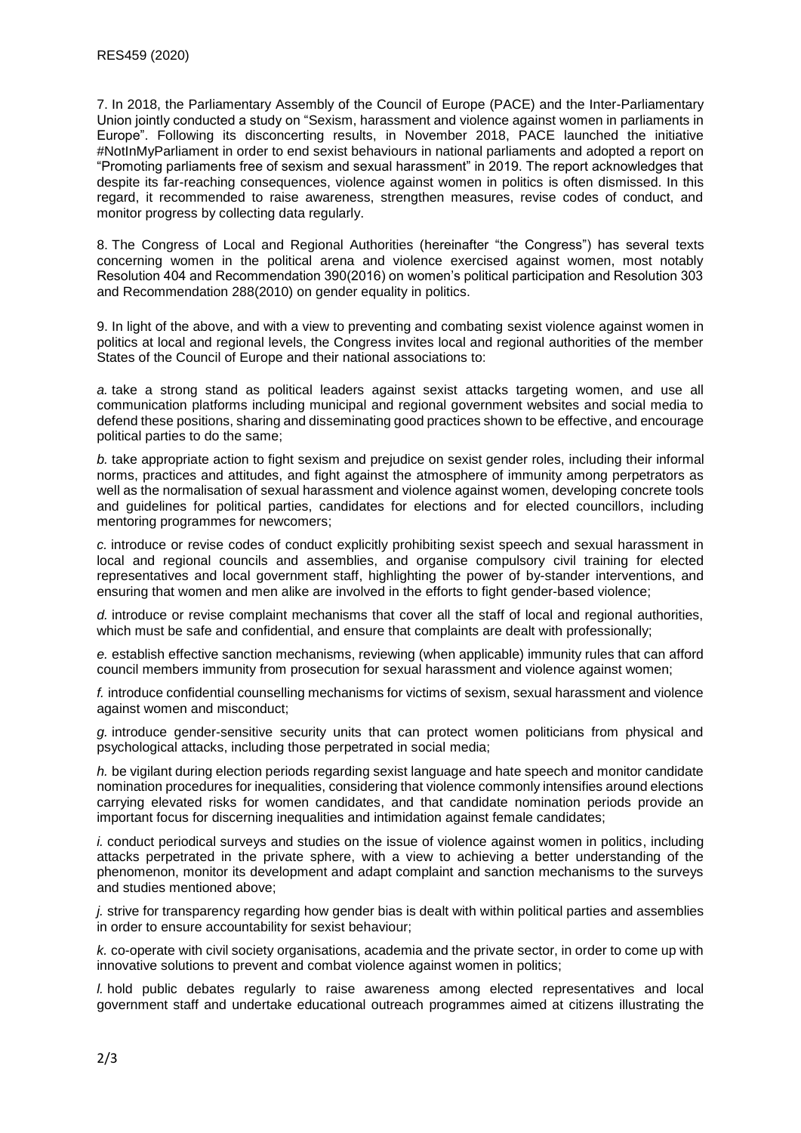7. In 2018, the Parliamentary Assembly of the Council of Europe (PACE) and the Inter-Parliamentary Union jointly conducted a study on "Sexism, harassment and violence against women in parliaments in Europe". Following its disconcerting results, in November 2018, PACE launched the initiative #NotInMyParliament in order to end sexist behaviours in national parliaments and adopted a report on "Promoting parliaments free of sexism and sexual harassment" in 2019. The report acknowledges that despite its far-reaching consequences, violence against women in politics is often dismissed. In this regard, it recommended to raise awareness, strengthen measures, revise codes of conduct, and monitor progress by collecting data regularly.

8. The Congress of Local and Regional Authorities (hereinafter "the Congress") has several texts concerning women in the political arena and violence exercised against women, most notably Resolution 404 and Recommendation 390(2016) on women's political participation and Resolution 303 and Recommendation 288(2010) on gender equality in politics.

9. In light of the above, and with a view to preventing and combating sexist violence against women in politics at local and regional levels, the Congress invites local and regional authorities of the member States of the Council of Europe and their national associations to:

*a.* take a strong stand as political leaders against sexist attacks targeting women, and use all communication platforms including municipal and regional government websites and social media to defend these positions, sharing and disseminating good practices shown to be effective, and encourage political parties to do the same;

*b.* take appropriate action to fight sexism and prejudice on sexist gender roles, including their informal norms, practices and attitudes, and fight against the atmosphere of immunity among perpetrators as well as the normalisation of sexual harassment and violence against women, developing concrete tools and guidelines for political parties, candidates for elections and for elected councillors, including mentoring programmes for newcomers;

*c.* introduce or revise codes of conduct explicitly prohibiting sexist speech and sexual harassment in local and regional councils and assemblies, and organise compulsory civil training for elected representatives and local government staff, highlighting the power of by-stander interventions, and ensuring that women and men alike are involved in the efforts to fight gender-based violence;

*d.* introduce or revise complaint mechanisms that cover all the staff of local and regional authorities, which must be safe and confidential, and ensure that complaints are dealt with professionally:

*e.* establish effective sanction mechanisms, reviewing (when applicable) immunity rules that can afford council members immunity from prosecution for sexual harassment and violence against women;

*f.* introduce confidential counselling mechanisms for victims of sexism, sexual harassment and violence against women and misconduct;

*g.* introduce gender-sensitive security units that can protect women politicians from physical and psychological attacks, including those perpetrated in social media;

*h.* be vigilant during election periods regarding sexist language and hate speech and monitor candidate nomination procedures for inequalities, considering that violence commonly intensifies around elections carrying elevated risks for women candidates, and that candidate nomination periods provide an important focus for discerning inequalities and intimidation against female candidates;

*i.* conduct periodical surveys and studies on the issue of violence against women in politics, including attacks perpetrated in the private sphere, with a view to achieving a better understanding of the phenomenon, monitor its development and adapt complaint and sanction mechanisms to the surveys and studies mentioned above;

*j.* strive for transparency regarding how gender bias is dealt with within political parties and assemblies in order to ensure accountability for sexist behaviour;

*k.* co-operate with civil society organisations, academia and the private sector, in order to come up with innovative solutions to prevent and combat violence against women in politics;

*l.* hold public debates regularly to raise awareness among elected representatives and local government staff and undertake educational outreach programmes aimed at citizens illustrating the